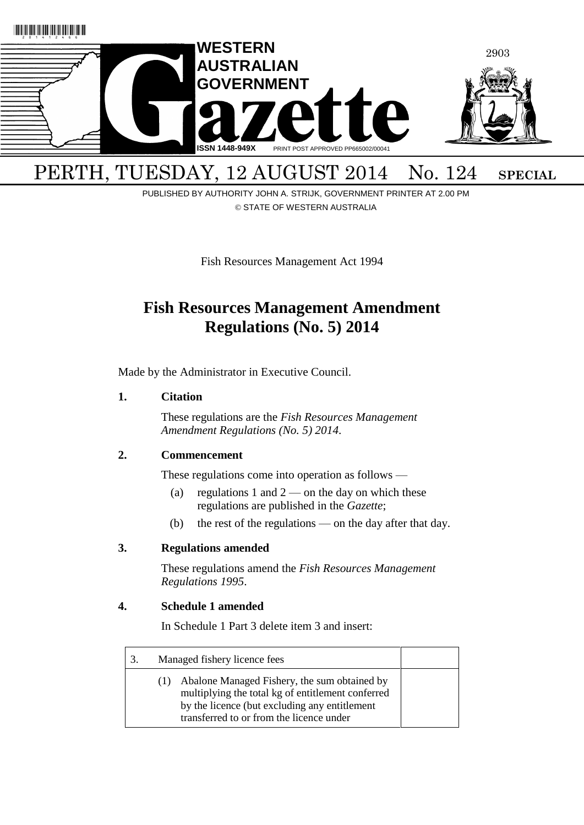

# PUBLISHED BY AUTHORITY JOHN A. STRIJK, GOVERNMENT PRINTER AT 2.00 PM

© STATE OF WESTERN AUSTRALIA

Fish Resources Management Act 1994

## **Fish Resources Management Amendment Regulations (No. 5) 2014**

Made by the Administrator in Executive Council.

### <span id="page-0-0"></span>**1. Citation**

These regulations are the *Fish Resources Management Amendment Regulations (No. 5) 2014*.

### <span id="page-0-1"></span>**2. Commencement**

These regulations come into operation as follows —

- (a) regulations [1](#page-0-0) and  $2$  on the day on which these regulations are published in the *Gazette*;
- (b) the rest of the regulations on the day after that day.

### **3. Regulations amended**

These regulations amend the *Fish Resources Management Regulations 1995*.

### **4. Schedule 1 amended**

In Schedule 1 Part 3 delete item 3 and insert:

| 3. | Managed fishery licence fees |                                                                                                                                                                                                |  |
|----|------------------------------|------------------------------------------------------------------------------------------------------------------------------------------------------------------------------------------------|--|
|    | (1)                          | Abalone Managed Fishery, the sum obtained by<br>multiplying the total kg of entitlement conferred<br>by the licence (but excluding any entitlement<br>transferred to or from the licence under |  |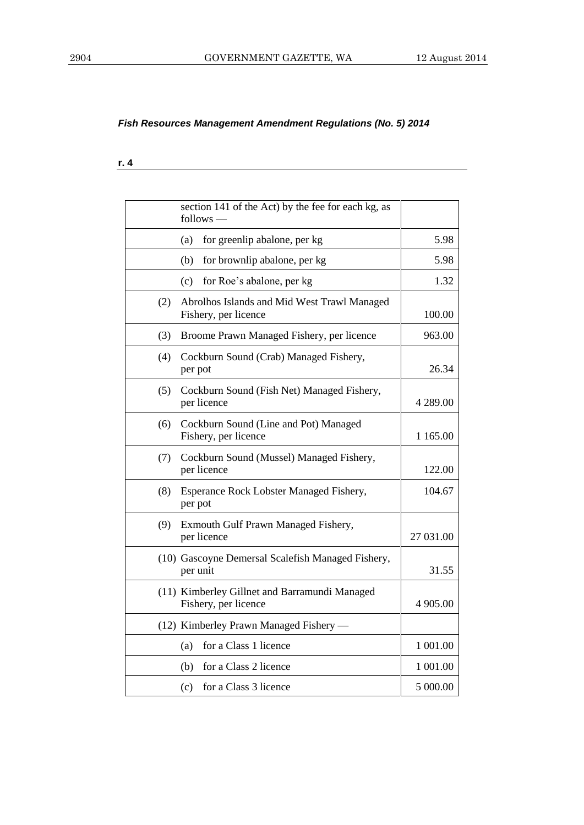**r. 4**

|     | section 141 of the Act) by the fee for each kg, as<br>follows -       |            |
|-----|-----------------------------------------------------------------------|------------|
|     | (a)<br>for greenlip abalone, per kg                                   | 5.98       |
|     | (b)<br>for brownlip abalone, per kg                                   | 5.98       |
|     | for Roe's abalone, per kg<br>(c)                                      | 1.32       |
| (2) | Abrolhos Islands and Mid West Trawl Managed<br>Fishery, per licence   | 100.00     |
| (3) | Broome Prawn Managed Fishery, per licence                             | 963.00     |
| (4) | Cockburn Sound (Crab) Managed Fishery,<br>per pot                     | 26.34      |
| (5) | Cockburn Sound (Fish Net) Managed Fishery,<br>per licence             | 4 289.00   |
| (6) | Cockburn Sound (Line and Pot) Managed<br>Fishery, per licence         | 1 1 65 .00 |
| (7) | Cockburn Sound (Mussel) Managed Fishery,<br>per licence               | 122.00     |
| (8) | Esperance Rock Lobster Managed Fishery,<br>per pot                    | 104.67     |
| (9) | Exmouth Gulf Prawn Managed Fishery,<br>per licence                    | 27 031.00  |
|     | (10) Gascoyne Demersal Scalefish Managed Fishery,<br>per unit         | 31.55      |
|     | (11) Kimberley Gillnet and Barramundi Managed<br>Fishery, per licence | 4 905.00   |
|     | (12) Kimberley Prawn Managed Fishery —                                |            |
|     | for a Class 1 licence<br>(a)                                          | 1 001.00   |
|     | for a Class 2 licence<br>(b)                                          | 1 001.00   |
|     | for a Class 3 licence<br>(c)                                          | 5 000.00   |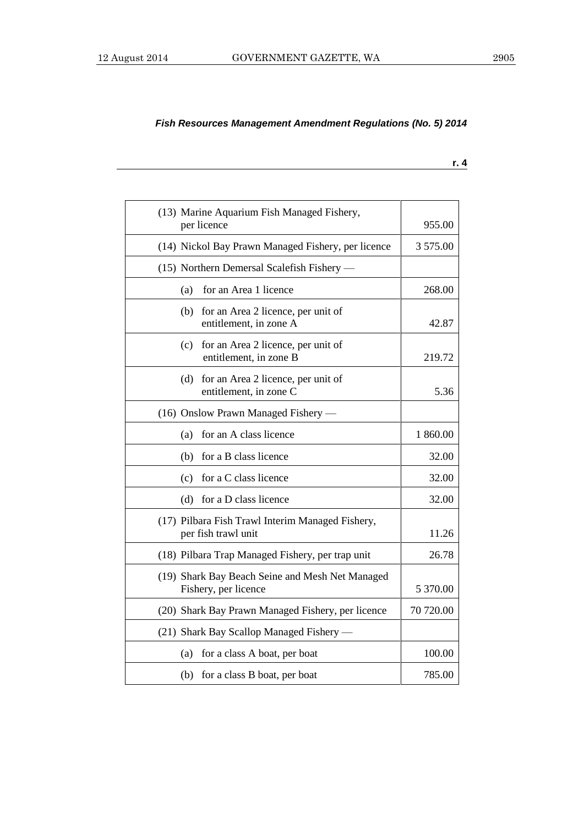**r. 4**

| (13) Marine Aquarium Fish Managed Fishery,<br>per licence               | 955.00    |
|-------------------------------------------------------------------------|-----------|
| (14) Nickol Bay Prawn Managed Fishery, per licence                      | 3 575.00  |
| (15) Northern Demersal Scalefish Fishery -                              |           |
| for an Area 1 licence<br>(a)                                            | 268.00    |
| (b)<br>for an Area 2 licence, per unit of<br>entitlement, in zone A     | 42.87     |
| for an Area 2 licence, per unit of<br>(c)<br>entitlement, in zone B     | 219.72    |
| for an Area 2 licence, per unit of<br>(d)<br>entitlement, in zone C     | 5.36      |
| (16) Onslow Prawn Managed Fishery —                                     |           |
| for an A class licence<br>(a)                                           | 1 860.00  |
| for a B class licence<br>(b)                                            | 32.00     |
| for a C class licence<br>(c)                                            | 32.00     |
| for a D class licence<br>(d)                                            | 32.00     |
| (17) Pilbara Fish Trawl Interim Managed Fishery,<br>per fish trawl unit | 11.26     |
| (18) Pilbara Trap Managed Fishery, per trap unit                        | 26.78     |
| (19) Shark Bay Beach Seine and Mesh Net Managed<br>Fishery, per licence | 5 370.00  |
| (20) Shark Bay Prawn Managed Fishery, per licence                       | 70 720.00 |
| (21) Shark Bay Scallop Managed Fishery —                                |           |
| (a)<br>for a class A boat, per boat                                     | 100.00    |
| (b) for a class B boat, per boat                                        | 785.00    |
|                                                                         |           |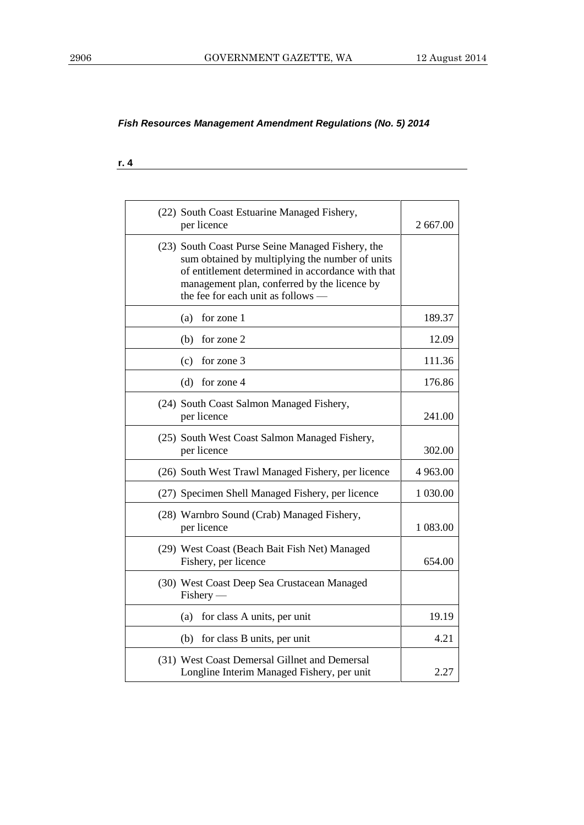#### **r. 4**

| (22) South Coast Estuarine Managed Fishery,<br>per licence                                                                                                                                                                                      | 2 667.00  |
|-------------------------------------------------------------------------------------------------------------------------------------------------------------------------------------------------------------------------------------------------|-----------|
| (23) South Coast Purse Seine Managed Fishery, the<br>sum obtained by multiplying the number of units<br>of entitlement determined in accordance with that<br>management plan, conferred by the licence by<br>the fee for each unit as follows - |           |
| for zone 1<br>(a)                                                                                                                                                                                                                               | 189.37    |
| for zone 2<br>(b)                                                                                                                                                                                                                               | 12.09     |
| for zone 3<br>(c)                                                                                                                                                                                                                               | 111.36    |
| for zone 4<br>(d)                                                                                                                                                                                                                               | 176.86    |
| (24) South Coast Salmon Managed Fishery,<br>per licence                                                                                                                                                                                         | 241.00    |
| (25) South West Coast Salmon Managed Fishery,<br>per licence                                                                                                                                                                                    | 302.00    |
| (26) South West Trawl Managed Fishery, per licence                                                                                                                                                                                              | 4 9 63.00 |
| (27) Specimen Shell Managed Fishery, per licence                                                                                                                                                                                                | 1 030.00  |
| (28) Warnbro Sound (Crab) Managed Fishery,<br>per licence                                                                                                                                                                                       | 1 083.00  |
| (29) West Coast (Beach Bait Fish Net) Managed<br>Fishery, per licence                                                                                                                                                                           | 654.00    |
| (30) West Coast Deep Sea Crustacean Managed<br>Fishery-                                                                                                                                                                                         |           |
| (a)<br>for class A units, per unit                                                                                                                                                                                                              | 19.19     |
| (b) for class B units, per unit                                                                                                                                                                                                                 | 4.21      |
| (31) West Coast Demersal Gillnet and Demersal<br>Longline Interim Managed Fishery, per unit                                                                                                                                                     | 2.27      |